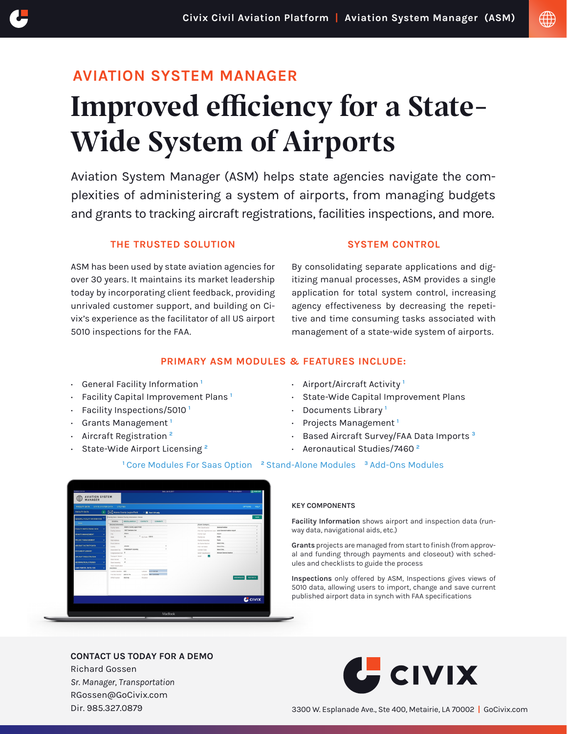# **AVIATION SYSTEM MANAGER**  Improved efficiency for a State-Wide System of Airports

Aviation System Manager (ASM) helps state agencies navigate the complexities of administering a system of airports, from managing budgets and grants to tracking aircraft registrations, facilities inspections, and more.

## **THE TRUSTED SOLUTION**

ASM has been used by state aviation agencies for over 30 years. It maintains its market leadership today by incorporating client feedback, providing unrivaled customer support, and building on Civix's experience as the facilitator of all US airport 5010 inspections for the FAA.

## **SYSTEM CONTROL**

By consolidating separate applications and digitizing manual processes, ASM provides a single application for total system control, increasing agency effectiveness by decreasing the repetitive and time consuming tasks associated with management of a state-wide system of airports.

## **PRIMARY ASM MODULES & FEATURES INCLUDE:**

- · General Facility Information **<sup>1</sup>**
- · Facility Capital Improvement Plans **<sup>1</sup>**
- · Facility Inspections/5010 **<sup>1</sup>**
- · Grants Management **<sup>1</sup>**
- · Aircraft Registration **<sup>2</sup>**
- · State-Wide Airport Licensing **<sup>2</sup>**
- · Airport/Aircraft Activity **<sup>1</sup>**
- · State-Wide Capital Improvement Plans
- · Documents Library **<sup>1</sup>**
- · Projects Management **<sup>1</sup>**
- · Based Aircraft Survey/FAA Data Imports **<sup>3</sup>**
- · Aeronautical Studies/7460 **<sup>2</sup>**

## **<sup>1</sup>**Core Modules For Saas Option **<sup>2</sup>**Stand-Alone Modules **<sup>3</sup>**Add-Ons Modules



#### **KEY COMPONENTS**

**Facility Information** shows airport and inspection data (runway data, navigational aids, etc.)

**Grants** projects are managed from start to finish (from approval and funding through payments and closeout) with schedules and checklists to guide the process

**Inspections** only offered by ASM, Inspections gives views of 5010 data, allowing users to import, change and save current published airport data in synch with FAA specifications

### **[CONTACT US TODAY FOR A DEMO](https://gocivix.com/contact/?utm_source=pdf&utm_medium=aviation-system-manager-asm&utm_campaign=airport_business_and_revenue_manager&utm_content=ASM-FactSheet.pdf)**

Richard Gossen *Sr. Manager, Transportation* RGossen@GoCivix.com